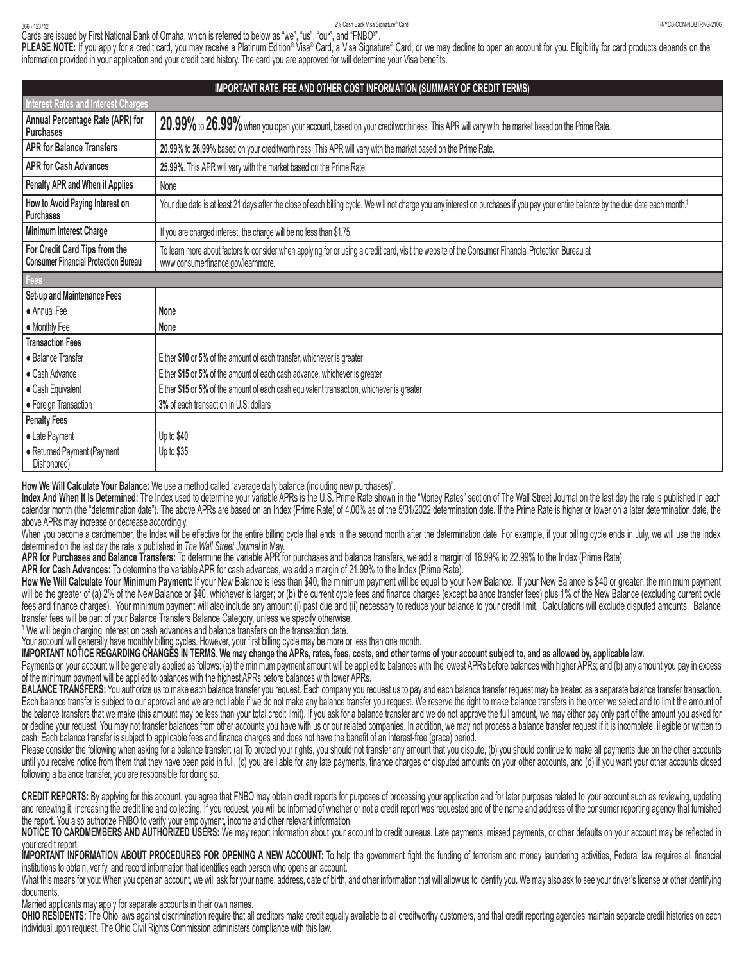## 2% Cash Back Visa Signature® Card 2% Cash Back Visa Signature® Card 2% Cash Back Visa Signature® Card 20% → 123712 PM 2000-2000-2106 → 123712 PM 2000-2000-2000-2106 → 123712 PM 2000-2106 → 2000-2106 → 2000-2106 → 2000-200 2% Cash Back Visa Signature® Card

Cards are issued by First National Bank of Omaha, which is referred to below as "we", "us", "our", and "FNBO®".

**PLEASE NOTE:** If you apply for a credit card, you may receive a Platinum Edition® Visa® Card, a Visa Signature® Card, or we may decline to open an account for you. Eligibility for card products depends on the information provided in your application and your credit card history. The card you are approved for will determine your Visa benefits.

| IMPORTANT RATE, FEE AND OTHER COST INFORMATION (SUMMARY OF CREDIT TERMS)     |                                                                                                                                                                                                   |  |
|------------------------------------------------------------------------------|---------------------------------------------------------------------------------------------------------------------------------------------------------------------------------------------------|--|
| <b>Interest Rates and Interest Charges</b>                                   |                                                                                                                                                                                                   |  |
| Annual Percentage Rate (APR) for<br>Purchases                                | 20.99% to 26.99% when you open your account, based on your creditworthiness. This APR will vary with the market based on the Prime Rate.                                                          |  |
| <b>APR for Balance Transfers</b>                                             | 20.99% to 26.99% based on your creditworthiness. This APR will vary with the market based on the Prime Rate.                                                                                      |  |
| <b>APR for Cash Advances</b>                                                 | 25.99%. This APR will vary with the market based on the Prime Rate.                                                                                                                               |  |
| Penalty APR and When it Applies                                              | None                                                                                                                                                                                              |  |
| How to Avoid Paying Interest on<br>Purchases                                 | Your due date is at least 21 days after the close of each billing cycle. We will not charge you any interest on purchases if you pay your entire balance by the due date each month. <sup>1</sup> |  |
| Minimum Interest Charge                                                      | If you are charged interest, the charge will be no less than \$1.75.                                                                                                                              |  |
| For Credit Card Tips from the<br><b>Consumer Financial Protection Bureau</b> | To learn more about factors to consider when applying for or using a credit card, visit the website of the Consumer Financial Protection Bureau at<br>www.consumerfinance.gov/learnmore.          |  |
| Fees                                                                         |                                                                                                                                                                                                   |  |
| Set-up and Maintenance Fees                                                  |                                                                                                                                                                                                   |  |
| • Annual Fee                                                                 | None                                                                                                                                                                                              |  |
| • Monthly Fee                                                                | None                                                                                                                                                                                              |  |
| <b>Transaction Fees</b>                                                      |                                                                                                                                                                                                   |  |
| • Balance Transfer                                                           | Either \$10 or 5% of the amount of each transfer, whichever is greater                                                                                                                            |  |
| • Cash Advance                                                               | Either \$15 or 5% of the amount of each cash advance, whichever is greater                                                                                                                        |  |
| • Cash Equivalent                                                            | Either \$15 or 5% of the amount of each cash equivalent transaction, whichever is greater                                                                                                         |  |
| • Foreign Transaction                                                        | 3% of each transaction in U.S. dollars                                                                                                                                                            |  |
| <b>Penalty Fees</b>                                                          |                                                                                                                                                                                                   |  |
| • Late Payment                                                               | Up to \$40                                                                                                                                                                                        |  |
| • Returned Payment (Payment<br>Dishonored)                                   | Up to \$35                                                                                                                                                                                        |  |

**How We Will Calculate Your Balance:** We use a method called "average daily balance (including new purchases)".

**Index And When It Is Determined:** The Index used to determine your variable APRs is the U.S. Prime Rate shown in the "Money Rates" section of The Wall Street Journal on the last day the rate is published in each calendar month (the "determination date"). The above APRs are based on an Index (Prime Rate) of 4.00% as of the 5/31/2022 determination date. If the Prime Rate is higher or lower on a later determination date, the above APRs may increase or decrease accordingly.

When you become a cardmember, the Index will be effective for the entire billing cycle that ends in the second month after the determination date. For example, if your billing cycle ends in July, we will use the Index determined on the last day the rate is published in *The Wall Street Journal* in May.

**APR for Purchases and Balance Transfers:** To determine the variable APR for purchases and balance transfers, we add a margin of 16.99% to 22.99% to the Index (Prime Rate).

**APR for Cash Advances:** To determine the variable APR for cash advances, we add a margin of 21.99% to the Index (Prime Rate).

How We Will Calculate Your Minimum Payment: If your New Balance is less than \$40, the minimum payment will be equal to your New Balance. If your New Balance is \$40 or greater, the minimum payment will be the greater of (a) 2% of the New Balance or \$40, whichever is larger; or (b) the current cycle fees and finance charges (except balance transfer fees) plus 1% of the New Balance (excluding current cycle fees and finance charges). Your minimum payment will also include any amount (i) past due and (ii) necessary to reduce your balance to your credit limit. Calculations will exclude disputed amounts. Balance transfer fees will be part of your Balance Transfers Balance Category, unless we specify otherwise.

<sup>1</sup> We will begin charging interest on cash advances and balance transfers on the transaction date.

Your account will generally have monthly billing cycles. However, your first billing cycle may be more or less than one month.

**IMPORTANT NOTICE REGARDING CHANGES IN TERMS**. **We may change the APRs, rates, fees, costs, and other terms of your account subject to, and as allowed by, applicable law.**

Payments on your account will be generally applied as follows: (a) the minimum payment amount will be applied to balances with the lowest APRs before balances with higher APRs; and (b) any amount you pay in excess of the minimum payment will be applied to balances with the highest APRs before balances with lower APRs.

**BALANCE TRANSFERS:** You authorize us to make each balance transfer you request. Each company you request us to pay and each balance transfer request may be treated as a separate balance transfer transaction. Each balance transfer is subject to our approval and we are not liable if we do not make any balance transfer you request. We reserve the right to make balance transfers in the order we select and to limit the amount of the balance transfers that we make (this amount may be less than your total credit limit). If you ask for a balance transfer and we do not approve the full amount, we may either pay only part of the amount you asked for or decline your request. You may not transfer balances from other accounts you have with us or our related companies. In addition, we may not process a balance transfer request if it is incomplete, illegible or written to cash. Each balance transfer is subject to applicable fees and finance charges and does not have the benefit of an interest-free (grace) period.

Please consider the following when asking for a balance transfer: (a) To protect your rights, you should not transfer any amount that you dispute, (b) you should continue to make all payments due on the other accounts until you receive notice from them that they have been paid in full, (c) you are liable for any late payments, finance charges or disputed amounts on your other accounts, and (d) if you want your other accounts closed following a balance transfer, you are responsible for doing so.

CREDIT REPORTS: By applying for this account, you agree that FNBO may obtain credit reports for purposes of processing your application and for later purposes related to your account such as reviewing, updating and renewing it, increasing the credit line and collecting. If you request, you will be informed of whether or not a credit report was requested and of the name and address of the consumer reporting agency that furnished the report. You also authorize FNBO to verify your employment, income and other relevant information.

NOTICE TO CARDMEMBERS AND AUTHORIZED USERS: We may report information about your account to credit bureaus. Late payments, missed payments, or other defaults on your account may be reflected in your credit report.

**IMPORTANT INFORMATION ABOUT PROCEDURES FOR OPENING A NEW ACCOUNT:** To help the government fight the funding of terrorism and money laundering activities, Federal law requires all financial institutions to obtain, verify, and record information that identifies each person who opens an account.

What this means for you: When you open an account, we will ask for your name, address, date of birth, and other information that will allow us to identify you. We may also ask to see your driver's license or other identify documents.

Married applicants may apply for separate accounts in their own names.

OHIO RESIDENTS: The Ohio laws against discrimination require that all creditors make credit equally available to all creditworthy customers, and that credit reporting agencies maintain separate credit histories on each individual upon request. The Ohio Civil Rights Commission administers compliance with this law.